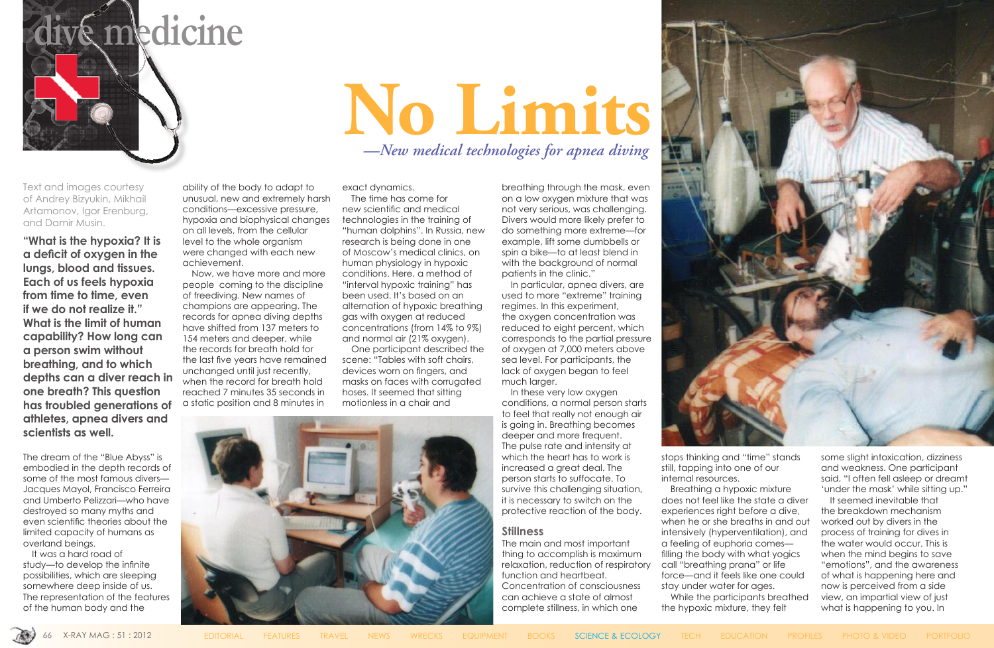

Text and images courtesy of Andrey Bizyukin, Mikhail Artamonov, Igor Erenburg, and Damir Musin.

**"What is the hypoxia? It is a deficit of oxygen in the lungs, blood and tissues. Each of us feels hypoxia from time to time, even if we do not realize it." What is the limit of human capability? How long can a person swim without breathing, and to which depths can a diver reach in one breath? This question has troubled generations of athletes, apnea divers and scientists as well.**

The dream of the "Blue Abyss" is embodied in the depth records of some of the most famous divers— Jacques Mayol, Francisco Ferreira and Umberto Pelizzari—who have destroyed so many myths and even scientific theories about the limited capacity of humans as overland beings.

It was a hard road of study—to develop the infinite possibilities, which are sleeping somewhere deep inside of us. The representation of the features of the human body and the

ability of the body to adapt to unusual, new and extremely harsh conditions—excessive pressure, hypoxia and biophysical changes on all levels, from the cellular level to the whole organism were changed with each new achievement.

Now, we have more and more people coming to the discipline of freediving. New names of champions are appearing. The records for apnea diving depths have shifted from 137 meters to 154 meters and deeper, while the records for breath hold for the last five years have remained unchanged until just recently, when the record for breath hold reached 7 minutes 35 seconds in a static position and 8 minutes in

exact dynamics.

The time has come for new scientific and medical technologies in the training of "human dolphins". In Russia, new research is being done in one of Moscow's medical clinics, on human physiology in hypoxic conditions. Here, a method of "interval hypoxic training" has been used. It's based on an alternation of hypoxic breathing gas with oxygen at reduced concentrations (from 14% to 9%) and normal air (21% oxygen).

One participant described the scene: "Tables with soft chairs, devices worn on fingers, and masks on faces with corrugated hoses. It seemed that sitting motionless in a chair and



breathing through the mask, even on a low oxygen mixture that was not very serious, was challenging. Divers would more likely prefer to do something more extreme—for example, lift some dumbbells or spin a bike—to at least blend in with the background of normal patients in the clinic."

In particular, apnea divers, are used to more "extreme" training regimes. In this experiment, the oxygen concentration was reduced to eight percent, which corresponds to the partial pressure of oxygen at 7,000 meters above sea level. For participants, the lack of oxygen began to feel much larger.

In these very low oxygen conditions, a normal person starts to feel that really not enough air is going in. Breathing becomes deeper and more frequent. The pulse rate and intensity at which the heart has to work is increased a great deal. The person starts to suffocate. To survive this challenging situation, it is necessary to switch on the protective reaction of the body.

### **Stillness**

The main and most important thing to accomplish is maximum relaxation, reduction of respiratory function and heartbeat. Concentration of consciousness can achieve a state of almost complete stillness, in which one



stops thinking and "time" stands still, tapping into one of our internal resources.

Breathing a hypoxic mixture does not feel like the state a diver experiences right before a dive, when he or she breaths in and out intensively (hyperventilation), and a feeling of euphoria comes filling the body with what yogics call "breathing prana" or life force—and it feels like one could stay under water for ages. While the participants breathed

the hypoxic mixture, they felt



some slight intoxication, dizziness and weakness. One participant said, "I often fell asleep or dreamt 'under the mask' while sitting up."

It seemed inevitable that the breakdown mechanism worked out by divers in the process of training for dives in the water would occur. This is when the mind begins to save "emotions", and the awareness of what is happening here and now is perceived from a side view, an impartial view of just what is happening to you. In

# **No Limits** *—New medical technologies for apnea diving*